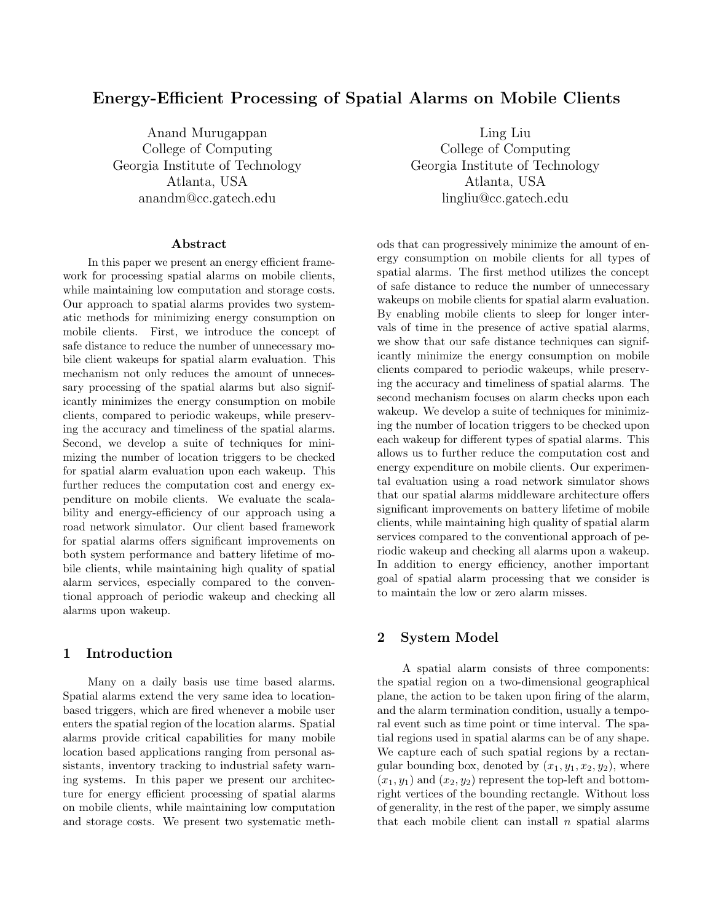# Energy-Efficient Processing of Spatial Alarms on Mobile Clients

Anand Murugappan Ling Liu Georgia Institute of Technology Georgia Institute of Technology anandm@cc.gatech.edu lingliu@cc.gatech.edu

#### Abstract

In this paper we present an energy efficient framework for processing spatial alarms on mobile clients, while maintaining low computation and storage costs. Our approach to spatial alarms provides two systematic methods for minimizing energy consumption on mobile clients. First, we introduce the concept of safe distance to reduce the number of unnecessary mobile client wakeups for spatial alarm evaluation. This mechanism not only reduces the amount of unnecessary processing of the spatial alarms but also significantly minimizes the energy consumption on mobile clients, compared to periodic wakeups, while preserving the accuracy and timeliness of the spatial alarms. Second, we develop a suite of techniques for minimizing the number of location triggers to be checked for spatial alarm evaluation upon each wakeup. This further reduces the computation cost and energy expenditure on mobile clients. We evaluate the scalability and energy-efficiency of our approach using a road network simulator. Our client based framework for spatial alarms offers significant improvements on both system performance and battery lifetime of mobile clients, while maintaining high quality of spatial alarm services, especially compared to the conventional approach of periodic wakeup and checking all alarms upon wakeup.

# 1 Introduction

Many on a daily basis use time based alarms. Spatial alarms extend the very same idea to locationbased triggers, which are fired whenever a mobile user enters the spatial region of the location alarms. Spatial alarms provide critical capabilities for many mobile location based applications ranging from personal assistants, inventory tracking to industrial safety warning systems. In this paper we present our architecture for energy efficient processing of spatial alarms on mobile clients, while maintaining low computation and storage costs. We present two systematic meth-

College of Computing College of Computing Atlanta, USA Atlanta, USA

> ods that can progressively minimize the amount of energy consumption on mobile clients for all types of spatial alarms. The first method utilizes the concept of safe distance to reduce the number of unnecessary wakeups on mobile clients for spatial alarm evaluation. By enabling mobile clients to sleep for longer intervals of time in the presence of active spatial alarms, we show that our safe distance techniques can significantly minimize the energy consumption on mobile clients compared to periodic wakeups, while preserving the accuracy and timeliness of spatial alarms. The second mechanism focuses on alarm checks upon each wakeup. We develop a suite of techniques for minimizing the number of location triggers to be checked upon each wakeup for different types of spatial alarms. This allows us to further reduce the computation cost and energy expenditure on mobile clients. Our experimental evaluation using a road network simulator shows that our spatial alarms middleware architecture offers significant improvements on battery lifetime of mobile clients, while maintaining high quality of spatial alarm services compared to the conventional approach of periodic wakeup and checking all alarms upon a wakeup. In addition to energy efficiency, another important goal of spatial alarm processing that we consider is to maintain the low or zero alarm misses.

# 2 System Model

A spatial alarm consists of three components: the spatial region on a two-dimensional geographical plane, the action to be taken upon firing of the alarm, and the alarm termination condition, usually a temporal event such as time point or time interval. The spatial regions used in spatial alarms can be of any shape. We capture each of such spatial regions by a rectangular bounding box, denoted by  $(x_1, y_1, x_2, y_2)$ , where  $(x_1, y_1)$  and  $(x_2, y_2)$  represent the top-left and bottomright vertices of the bounding rectangle. Without loss of generality, in the rest of the paper, we simply assume that each mobile client can install  $n$  spatial alarms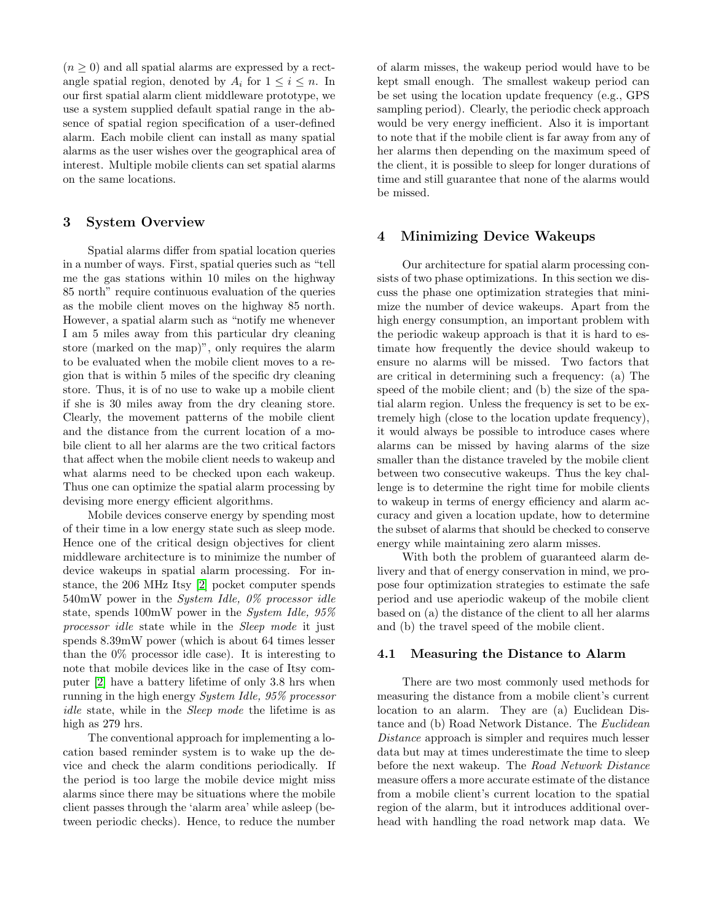$(n \geq 0)$  and all spatial alarms are expressed by a rectangle spatial region, denoted by  $A_i$  for  $1 \leq i \leq n$ . In our first spatial alarm client middleware prototype, we use a system supplied default spatial range in the absence of spatial region specification of a user-defined alarm. Each mobile client can install as many spatial alarms as the user wishes over the geographical area of interest. Multiple mobile clients can set spatial alarms on the same locations.

### 3 System Overview

Spatial alarms differ from spatial location queries in a number of ways. First, spatial queries such as "tell me the gas stations within 10 miles on the highway 85 north" require continuous evaluation of the queries as the mobile client moves on the highway 85 north. However, a spatial alarm such as "notify me whenever I am 5 miles away from this particular dry cleaning store (marked on the map)", only requires the alarm to be evaluated when the mobile client moves to a region that is within 5 miles of the specific dry cleaning store. Thus, it is of no use to wake up a mobile client if she is 30 miles away from the dry cleaning store. Clearly, the movement patterns of the mobile client and the distance from the current location of a mobile client to all her alarms are the two critical factors that affect when the mobile client needs to wakeup and what alarms need to be checked upon each wakeup. Thus one can optimize the spatial alarm processing by devising more energy efficient algorithms.

Mobile devices conserve energy by spending most of their time in a low energy state such as sleep mode. Hence one of the critical design objectives for client middleware architecture is to minimize the number of device wakeups in spatial alarm processing. For instance, the 206 MHz Itsy [\[2\]](#page-5-0) pocket computer spends 540mW power in the System Idle, 0% processor idle state, spends 100mW power in the System Idle, 95% processor idle state while in the Sleep mode it just spends 8.39mW power (which is about 64 times lesser than the 0% processor idle case). It is interesting to note that mobile devices like in the case of Itsy computer [\[2\]](#page-5-0) have a battery lifetime of only 3.8 hrs when running in the high energy System Idle, 95% processor idle state, while in the Sleep mode the lifetime is as high as 279 hrs.

The conventional approach for implementing a location based reminder system is to wake up the device and check the alarm conditions periodically. If the period is too large the mobile device might miss alarms since there may be situations where the mobile client passes through the 'alarm area' while asleep (between periodic checks). Hence, to reduce the number of alarm misses, the wakeup period would have to be kept small enough. The smallest wakeup period can be set using the location update frequency (e.g., GPS sampling period). Clearly, the periodic check approach would be very energy inefficient. Also it is important to note that if the mobile client is far away from any of her alarms then depending on the maximum speed of the client, it is possible to sleep for longer durations of time and still guarantee that none of the alarms would be missed.

### 4 Minimizing Device Wakeups

Our architecture for spatial alarm processing consists of two phase optimizations. In this section we discuss the phase one optimization strategies that minimize the number of device wakeups. Apart from the high energy consumption, an important problem with the periodic wakeup approach is that it is hard to estimate how frequently the device should wakeup to ensure no alarms will be missed. Two factors that are critical in determining such a frequency: (a) The speed of the mobile client; and (b) the size of the spatial alarm region. Unless the frequency is set to be extremely high (close to the location update frequency), it would always be possible to introduce cases where alarms can be missed by having alarms of the size smaller than the distance traveled by the mobile client between two consecutive wakeups. Thus the key challenge is to determine the right time for mobile clients to wakeup in terms of energy efficiency and alarm accuracy and given a location update, how to determine the subset of alarms that should be checked to conserve energy while maintaining zero alarm misses.

With both the problem of guaranteed alarm delivery and that of energy conservation in mind, we propose four optimization strategies to estimate the safe period and use aperiodic wakeup of the mobile client based on (a) the distance of the client to all her alarms and (b) the travel speed of the mobile client.

#### 4.1 Measuring the Distance to Alarm

There are two most commonly used methods for measuring the distance from a mobile client's current location to an alarm. They are (a) Euclidean Distance and (b) Road Network Distance. The Euclidean Distance approach is simpler and requires much lesser data but may at times underestimate the time to sleep before the next wakeup. The Road Network Distance measure offers a more accurate estimate of the distance from a mobile client's current location to the spatial region of the alarm, but it introduces additional overhead with handling the road network map data. We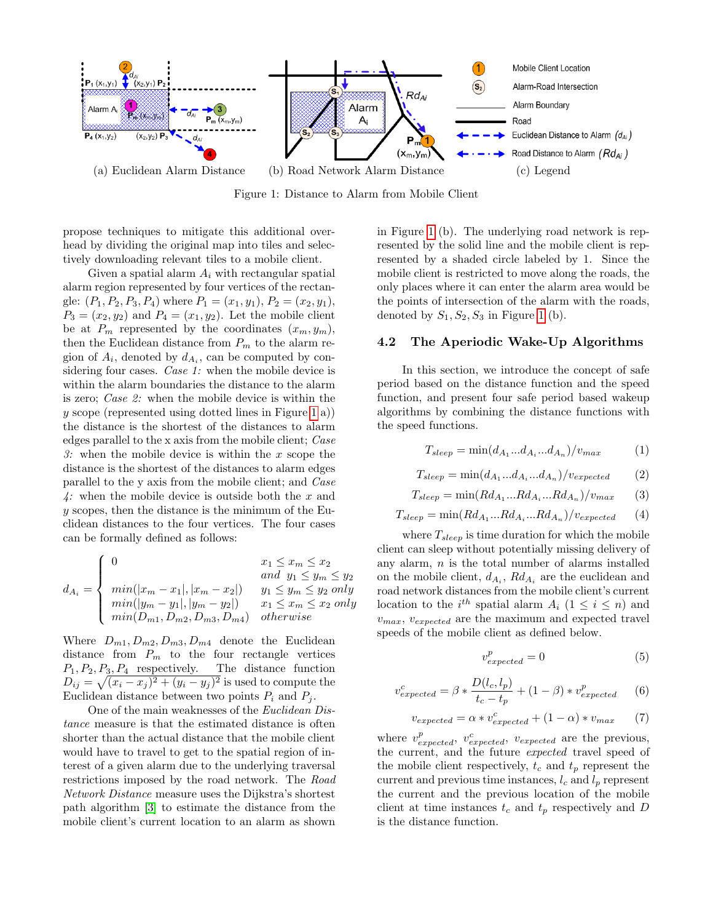

<span id="page-2-0"></span>Figure 1: Distance to Alarm from Mobile Client

propose techniques to mitigate this additional overhead by dividing the original map into tiles and selectively downloading relevant tiles to a mobile client.

Given a spatial alarm  $A_i$  with rectangular spatial alarm region represented by four vertices of the rectangle:  $(P_1, P_2, P_3, P_4)$  where  $P_1 = (x_1, y_1), P_2 = (x_2, y_1),$  $P_3 = (x_2, y_2)$  and  $P_4 = (x_1, y_2)$ . Let the mobile client be at  $P_m$  represented by the coordinates  $(x_m, y_m)$ , then the Euclidean distance from  $P_m$  to the alarm region of  $A_i$ , denoted by  $d_{A_i}$ , can be computed by considering four cases. *Case 1*: when the mobile device is within the alarm boundaries the distance to the alarm is zero; Case 2: when the mobile device is within the  $y$  scope (represented using dotted lines in Figure [1](#page-2-0) a)) the distance is the shortest of the distances to alarm edges parallel to the x axis from the mobile client; Case 3: when the mobile device is within the  $x$  scope the distance is the shortest of the distances to alarm edges parallel to the y axis from the mobile client; and Case 4: when the mobile device is outside both the  $x$  and y scopes, then the distance is the minimum of the Euclidean distances to the four vertices. The four cases can be formally defined as follows:

$$
d_{A_i} = \begin{cases} 0 & x_1 \le x_m \le x_2 \\ \min(|x_m - x_1|, |x_m - x_2|) & y_1 \le y_m \le y_2 \text{ only} \\ \min(|y_m - y_1|, |y_m - y_2|) & x_1 \le x_m \le x_2 \text{ only} \\ \min(D_{m1}, D_{m2}, D_{m3}, D_{m4}) & otherwise \end{cases}
$$

Where  $D_{m1}, D_{m2}, D_{m3}, D_{m4}$  denote the Euclidean distance from  $P_m$  to the four rectangle vertices  $P_1, P_2, P_3, P_4$  respectively. The distance function  $D_{ij} = \sqrt{(x_i - x_j)^2 + (y_i - y_j)^2}$  is used to compute the Euclidean distance between two points  $P_i$  and  $P_j$ .

One of the main weaknesses of the Euclidean Distance measure is that the estimated distance is often shorter than the actual distance that the mobile client would have to travel to get to the spatial region of interest of a given alarm due to the underlying traversal restrictions imposed by the road network. The Road Network Distance measure uses the Dijkstra's shortest path algorithm [\[3\]](#page-5-1) to estimate the distance from the mobile client's current location to an alarm as shown

in Figure [1](#page-2-0) (b). The underlying road network is represented by the solid line and the mobile client is represented by a shaded circle labeled by 1. Since the mobile client is restricted to move along the roads, the only places where it can enter the alarm area would be the points of intersection of the alarm with the roads, denoted by  $S_1, S_2, S_3$  in Figure [1](#page-2-0) (b).

# 4.2 The Aperiodic Wake-Up Algorithms

In this section, we introduce the concept of safe period based on the distance function and the speed function, and present four safe period based wakeup algorithms by combining the distance functions with the speed functions.

<span id="page-2-1"></span>
$$
T_{sleep} = \min(d_{A_1}...d_{A_i}...d_{A_n})/v_{max} \tag{1}
$$

<span id="page-2-2"></span>
$$
T_{sleep} = \min(d_{A_1}...d_{A_i}...d_{A_n})/v_{expected}
$$
 (2)

<span id="page-2-3"></span>
$$
T_{sleep} = \min(Rd_{A_1}...Rd_{A_i}...Rd_{A_n})/v_{max} \qquad (3)
$$

<span id="page-2-4"></span>
$$
T_{sleep} = \min(Rd_{A_1}...Rd_{A_i}...Rd_{A_n})/v_{expected} \qquad (4)
$$

where  $T_{sleep}$  is time duration for which the mobile client can sleep without potentially missing delivery of any alarm,  $n$  is the total number of alarms installed on the mobile client,  $d_{A_i}$ ,  $Rd_{A_i}$  are the euclidean and road network distances from the mobile client's current location to the  $i^{th}$  spatial alarm  $A_i$   $(1 \leq i \leq n)$  and  $v_{max}$ ,  $v_{expected}$  are the maximum and expected travel speeds of the mobile client as defined below.

$$
v_{expected}^p = 0 \tag{5}
$$

$$
v_{expected}^c = \beta * \frac{D(l_c, l_p)}{t_c - t_p} + (1 - \beta) * v_{expected}^p \tag{6}
$$

$$
v_{expected} = \alpha * v_{expected}^{c} + (1 - \alpha) * v_{max} \qquad (7)
$$

where  $v_{expected}^p$ ,  $v_{expected}^c$ ,  $v_{expected}$  are the previous, the current, and the future expected travel speed of the mobile client respectively,  $t_c$  and  $t_p$  represent the current and previous time instances,  $l_c$  and  $l_p$  represent the current and the previous location of the mobile client at time instances  $t_c$  and  $t_p$  respectively and D is the distance function.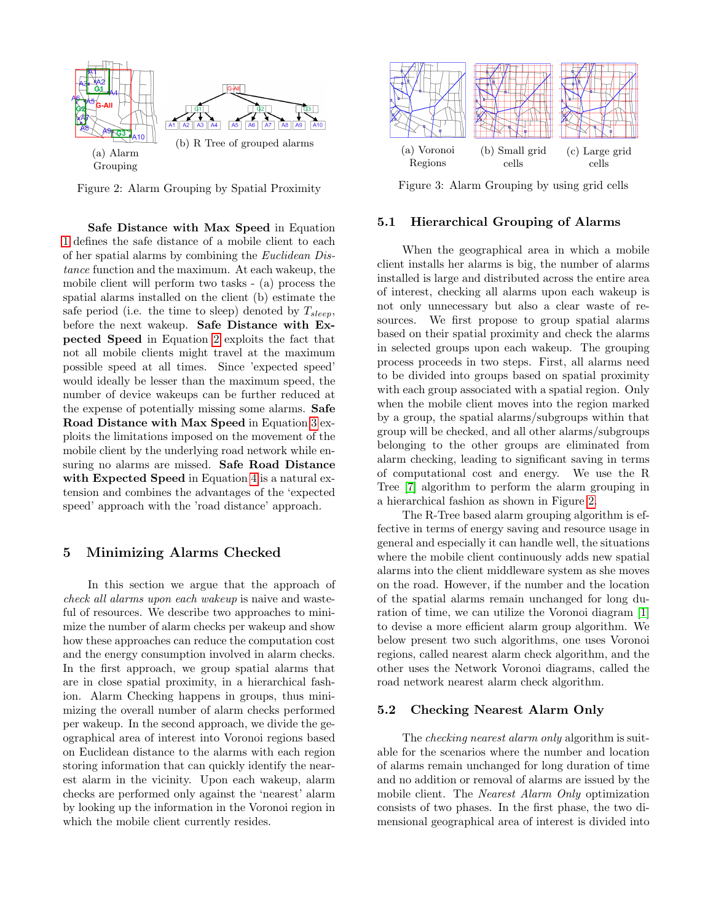

<span id="page-3-0"></span>Figure 2: Alarm Grouping by Spatial Proximity

Safe Distance with Max Speed in Equation [1](#page-2-1) defines the safe distance of a mobile client to each of her spatial alarms by combining the Euclidean Distance function and the maximum. At each wakeup, the mobile client will perform two tasks - (a) process the spatial alarms installed on the client (b) estimate the safe period (i.e. the time to sleep) denoted by  $T_{sleep}$ , before the next wakeup. Safe Distance with Expected Speed in Equation [2](#page-2-2) exploits the fact that not all mobile clients might travel at the maximum possible speed at all times. Since 'expected speed' would ideally be lesser than the maximum speed, the number of device wakeups can be further reduced at the expense of potentially missing some alarms. Safe Road Distance with Max Speed in Equation [3](#page-2-3) exploits the limitations imposed on the movement of the mobile client by the underlying road network while ensuring no alarms are missed. Safe Road Distance with Expected Speed in Equation [4](#page-2-4) is a natural extension and combines the advantages of the 'expected speed' approach with the 'road distance' approach.

### 5 Minimizing Alarms Checked

In this section we argue that the approach of check all alarms upon each wakeup is naive and wasteful of resources. We describe two approaches to minimize the number of alarm checks per wakeup and show how these approaches can reduce the computation cost and the energy consumption involved in alarm checks. In the first approach, we group spatial alarms that are in close spatial proximity, in a hierarchical fashion. Alarm Checking happens in groups, thus minimizing the overall number of alarm checks performed per wakeup. In the second approach, we divide the geographical area of interest into Voronoi regions based on Euclidean distance to the alarms with each region storing information that can quickly identify the nearest alarm in the vicinity. Upon each wakeup, alarm checks are performed only against the 'nearest' alarm by looking up the information in the Voronoi region in which the mobile client currently resides.



<span id="page-3-1"></span>Figure 3: Alarm Grouping by using grid cells

### 5.1 Hierarchical Grouping of Alarms

When the geographical area in which a mobile client installs her alarms is big, the number of alarms installed is large and distributed across the entire area of interest, checking all alarms upon each wakeup is not only unnecessary but also a clear waste of resources. We first propose to group spatial alarms based on their spatial proximity and check the alarms in selected groups upon each wakeup. The grouping process proceeds in two steps. First, all alarms need to be divided into groups based on spatial proximity with each group associated with a spatial region. Only when the mobile client moves into the region marked by a group, the spatial alarms/subgroups within that group will be checked, and all other alarms/subgroups belonging to the other groups are eliminated from alarm checking, leading to significant saving in terms of computational cost and energy. We use the R Tree [\[7\]](#page-5-2) algorithm to perform the alarm grouping in a hierarchical fashion as shown in Figure [2.](#page-3-0)

The R-Tree based alarm grouping algorithm is effective in terms of energy saving and resource usage in general and especially it can handle well, the situations where the mobile client continuously adds new spatial alarms into the client middleware system as she moves on the road. However, if the number and the location of the spatial alarms remain unchanged for long duration of time, we can utilize the Voronoi diagram [\[1\]](#page-5-3) to devise a more efficient alarm group algorithm. We below present two such algorithms, one uses Voronoi regions, called nearest alarm check algorithm, and the other uses the Network Voronoi diagrams, called the road network nearest alarm check algorithm.

#### 5.2 Checking Nearest Alarm Only

The *checking nearest alarm only* algorithm is suitable for the scenarios where the number and location of alarms remain unchanged for long duration of time and no addition or removal of alarms are issued by the mobile client. The Nearest Alarm Only optimization consists of two phases. In the first phase, the two dimensional geographical area of interest is divided into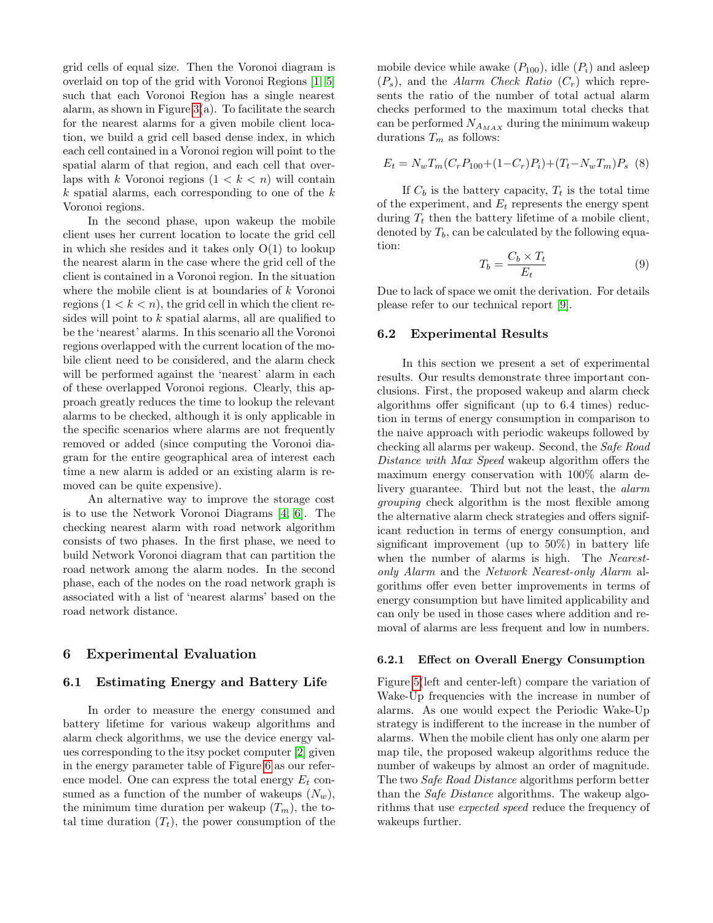grid cells of equal size. Then the Voronoi diagram is overlaid on top of the grid with Voronoi Regions [\[1,](#page-5-3) [5\]](#page-5-4) such that each Voronoi Region has a single nearest alarm, as shown in Figure  $3(a)$ . To facilitate the search for the nearest alarms for a given mobile client location, we build a grid cell based dense index, in which each cell contained in a Voronoi region will point to the spatial alarm of that region, and each cell that overlaps with k Voronoi regions  $(1 < k < n)$  will contain  $k$  spatial alarms, each corresponding to one of the  $k$ Voronoi regions.

In the second phase, upon wakeup the mobile client uses her current location to locate the grid cell in which she resides and it takes only  $O(1)$  to lookup the nearest alarm in the case where the grid cell of the client is contained in a Voronoi region. In the situation where the mobile client is at boundaries of k Voronoi regions  $(1 < k < n)$ , the grid cell in which the client resides will point to k spatial alarms, all are qualified to be the 'nearest' alarms. In this scenario all the Voronoi regions overlapped with the current location of the mobile client need to be considered, and the alarm check will be performed against the 'nearest' alarm in each of these overlapped Voronoi regions. Clearly, this approach greatly reduces the time to lookup the relevant alarms to be checked, although it is only applicable in the specific scenarios where alarms are not frequently removed or added (since computing the Voronoi diagram for the entire geographical area of interest each time a new alarm is added or an existing alarm is removed can be quite expensive).

An alternative way to improve the storage cost is to use the Network Voronoi Diagrams [\[4,](#page-5-5) [6\]](#page-5-6). The checking nearest alarm with road network algorithm consists of two phases. In the first phase, we need to build Network Voronoi diagram that can partition the road network among the alarm nodes. In the second phase, each of the nodes on the road network graph is associated with a list of 'nearest alarms' based on the road network distance.

#### 6 Experimental Evaluation

#### 6.1 Estimating Energy and Battery Life

In order to measure the energy consumed and battery lifetime for various wakeup algorithms and alarm check algorithms, we use the device energy values corresponding to the itsy pocket computer [\[2\]](#page-5-0) given in the energy parameter table of Figure [6](#page-5-7) as our reference model. One can express the total energy  $E_t$  consumed as a function of the number of wakeups  $(N_w)$ , the minimum time duration per wakeup  $(T_m)$ , the total time duration  $(T_t)$ , the power consumption of the

mobile device while awake  $(P_{100})$ , idle  $(P_i)$  and asleep  $(P_s)$ , and the Alarm Check Ratio  $(C_r)$  which represents the ratio of the number of total actual alarm checks performed to the maximum total checks that can be performed  $N_{A_{MAX}}$  during the minimum wakeup durations  $T_m$  as follows:

$$
E_t = N_w T_m (C_r P_{100} + (1 - C_r) P_i) + (T_t - N_w T_m) P_s
$$
 (8)

If  $C_b$  is the battery capacity,  $T_t$  is the total time of the experiment, and  $E_t$  represents the energy spent during  $T_t$  then the battery lifetime of a mobile client, denoted by  $T_b$ , can be calculated by the following equation:

$$
T_b = \frac{C_b \times T_t}{E_t} \tag{9}
$$

Due to lack of space we omit the derivation. For details please refer to our technical report [\[9\]](#page-5-8).

#### 6.2 Experimental Results

In this section we present a set of experimental results. Our results demonstrate three important conclusions. First, the proposed wakeup and alarm check algorithms offer significant (up to 6.4 times) reduction in terms of energy consumption in comparison to the naive approach with periodic wakeups followed by checking all alarms per wakeup. Second, the Safe Road Distance with Max Speed wakeup algorithm offers the maximum energy conservation with 100% alarm delivery guarantee. Third but not the least, the *alarm* grouping check algorithm is the most flexible among the alternative alarm check strategies and offers significant reduction in terms of energy consumption, and significant improvement (up to 50%) in battery life when the number of alarms is high. The Nearestonly Alarm and the Network Nearest-only Alarm algorithms offer even better improvements in terms of energy consumption but have limited applicability and can only be used in those cases where addition and removal of alarms are less frequent and low in numbers.

### 6.2.1 Effect on Overall Energy Consumption

Figure [5\(](#page-5-9)left and center-left) compare the variation of Wake-Up frequencies with the increase in number of alarms. As one would expect the Periodic Wake-Up strategy is indifferent to the increase in the number of alarms. When the mobile client has only one alarm per map tile, the proposed wakeup algorithms reduce the number of wakeups by almost an order of magnitude. The two Safe Road Distance algorithms perform better than the *Safe Distance* algorithms. The wakeup algorithms that use expected speed reduce the frequency of wakeups further.